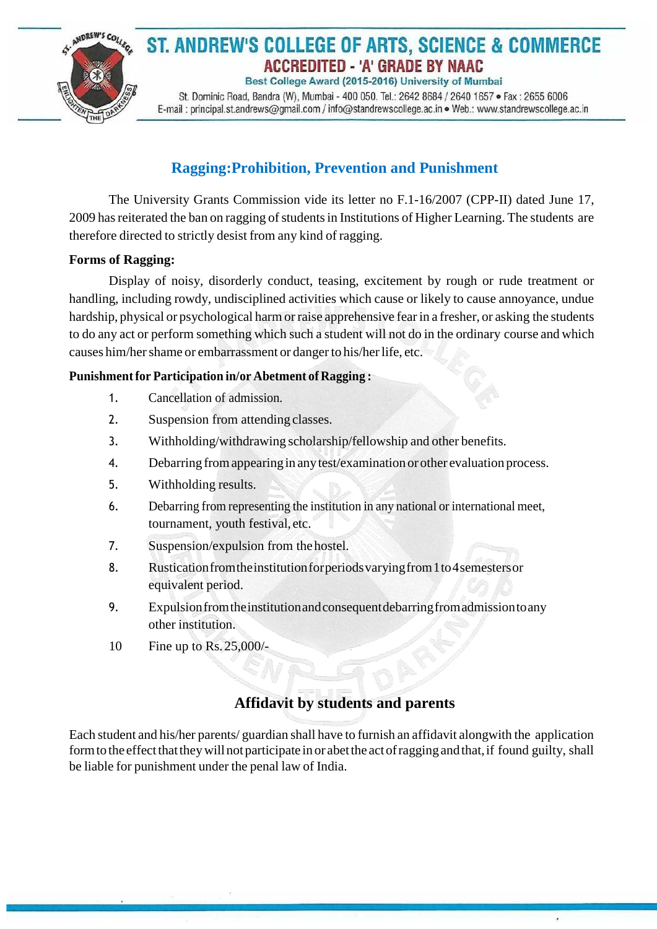

## ST. ANDREW'S COLLEGE OF ARTS, SCIENCE & COMMERCE ACCREDITED - 'A' GRADE BY NAAC Best College Award (2015-2016) University of Mumbai

St. Dominic Road, Bandra (W), Mumbai - 400 050. Tel.: 2642 8684 / 2640 1657 · Fax: 2655 6006 E-mail: principal.st.andrews@gmail.com / info@standrewscollege.ac.in . Web.: www.standrewscollege.ac.in

# **Ragging:Prohibition, Prevention and Punishment**

The University Grants Commission vide its letter no F.1-16/2007 (CPP-II) dated June 17, 2009 has reiterated the ban on ragging of students in Institutions of Higher Learning. The students are therefore directed to strictly desist from any kind of ragging.

#### **Forms of Ragging:**

Display of noisy, disorderly conduct, teasing, excitement by rough or rude treatment or handling, including rowdy, undisciplined activities which cause or likely to cause annoyance, undue hardship, physical or psychological harm or raise apprehensive fearin a fresher, or asking the students to do any act or perform something which such a student will not do in the ordinary course and which causes him/her shame or embarrassment or danger to his/her life, etc.

#### **Punishmentfor Participation in/or Abetment of Ragging :**

- 1. Cancellation of admission.
- 2. Suspension from attending classes.
- 3. Withholding/withdrawing scholarship/fellowship and other benefits.
- 4. Debarring fromappearingin anytest/examination or other evaluation process.
- 5. Withholding results.
- 6. Debarring from representing the institution in any national or international meet, tournament, youth festival, etc.
- 7. Suspension/expulsion from thehostel.
- 8. Rustication from the institution for periods varying from 1 to 4 semesters or equivalent period.
- 9. Expulsionfromtheinstitutionandconsequentdebarringfromadmissiontoany other institution.
- 10 Fine up to Rs.25,000/-

# **Affidavit by students and parents**

ú

Each student and his/her parents/ guardian shall have to furnish an affidavit alongwith the application form to the effect that they will not participate in or abet the act of ragging and that, if found guilty, shall be liable for punishment under the penal law of India.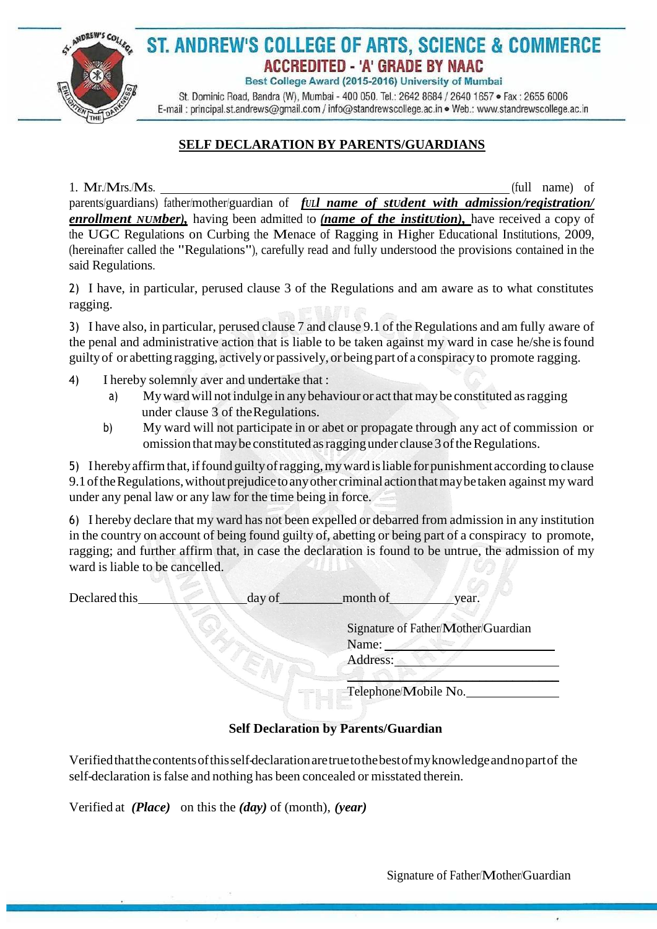

# ST. ANDREW'S COLLEGE OF ARTS, SCIENCE & COMMERCE ACCREDITED - 'A' GRADE BY NAAC

Best College Award (2015-2016) University of Mumbai

St. Dominic Road, Bandra (W), Mumbai - 400 050. Tel.: 2642 8684 / 2640 1657 · Fax: 2655 6006 E-mail: principal.st.andrews@gmail.com / info@standrewscollege.ac.in . Web.: www.standrewscollege.ac.in

## **SELF DECLARATION BY PARENTS/GUARDIANS**

1. Mr./Mrs./Ms. (full name) of

parents/guardians) father/mother/guardian of *fULl name of stUdent with admission/registration/ enrollment NUMber),* having been admitted to *(name of the institUtion),* have received a copy of the UGC Regulations on Curbing the Menace of Ragging in Higher Educational Institutions, 2009, (hereinafter called the "Regulations"), carefully read and fully understood the provisions contained in the said Regulations.

2) I have, in particular, perused clause 3 of the Regulations and am aware as to what constitutes ragging.

3) I have also, in particular, perused clause 7 and clause 9.1 of the Regulations and am fully aware of the penal and administrative action that is liable to be taken against my ward in case he/she isfound guiltyof or abetting ragging, activelyor passively, or being part of a conspiracy to promote ragging.

- 4) I hereby solemnly aver and undertake that :
	- a) Myward will not indulge in any behaviour or act that maybe constituted asragging under clause 3 of theRegulations.
	- b) My ward will not participate in or abet or propagate through any act of commission or omission that may be constituted as ragging under clause 3 of the Regulations.

5) Iherebyaffirmthat,iffound guiltyofragging,mywardisliable for punishment according toclause 9.1 of the Regulations, without prejudice to any other criminal action that may be taken against my ward under any penal law or any law for the time being in force.

6) I hereby declare that my ward has not been expelled or debarred from admission in any institution in the country on account of being found guilty of, abetting or being part of a conspiracy to promote, ragging; and further affirm that, in case the declaration is found to be untrue, the admission of my ward is liable to be cancelled.

| Declared this | day of               | month of                                     | year. |
|---------------|----------------------|----------------------------------------------|-------|
|               |                      | Signature of Father/Mother/Guardian<br>Name: |       |
|               |                      | Address:                                     |       |
|               | Telephone/Mobile No. |                                              |       |

### **Self Declaration by Parents/Guardian**

Verifiedthatthecontentsofthisself-declarationaretruetothebestofmyknowledgeandnopartof the self-declaration isfalse and nothing has been concealed or misstated therein.

Verified at *(Place)* on this the *(day)* of (month), *(year)*

 $\lambda$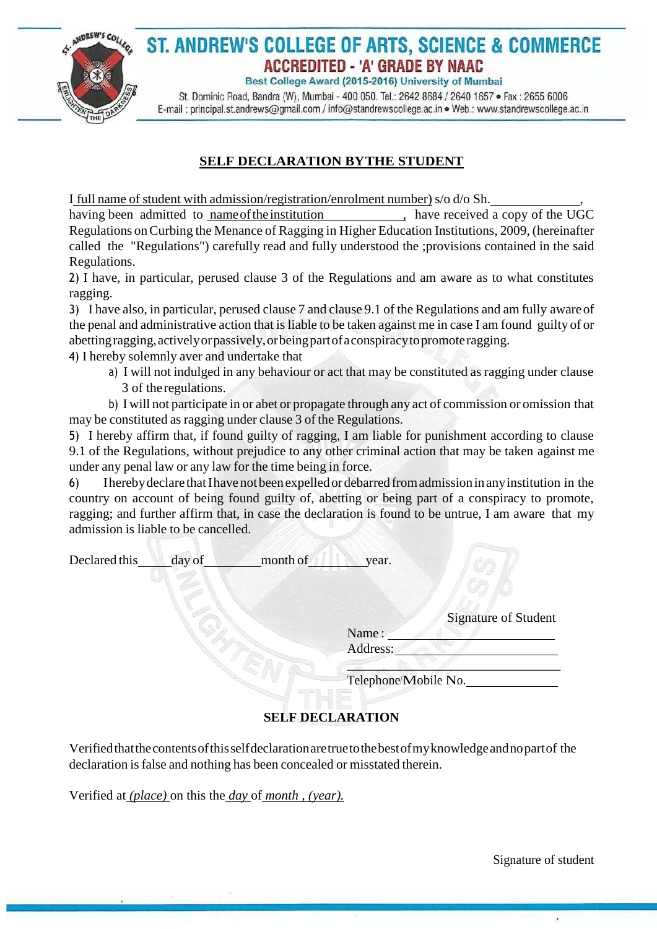

# ST. ANDREW'S COLLEGE OF ARTS, SCIENCE & COMMERCE **ACCREDITED - 'A' GRADE BY NAAC**

Best College Award (2015-2016) University of Mumbai

St. Dominic Road, Bandra (W), Mumbai - 400 050. Tel.: 2642 8684 / 2640 1657 · Fax: 2655 6006 E-mail: principal.st.andrews@gmail.com / info@standrewscollege.ac.in . Web.: www.standrewscollege.ac.in

### **SELF DECLARATION BYTHE STUDENT**

I full name of student with admission/registration/enrolment number) s/o d/o Sh. ,

having been admitted to name of the institution , have received a copy of the UGC Regulations onCurbing the Menance of Ragging in Higher Education Institutions, 2009, (hereinafter called the "Regulations") carefully read and fully understood the ;provisions contained in the said Regulations.

2) I have, in particular, perused clause 3 of the Regulations and am aware as to what constitutes ragging.

3) I have also, in particular, perused clause 7 and clause 9.1 of the Regulations and am fully awareof the penal and administrative action that is liable to be taken against me in case I am found guilty of or abettingragging,activelyorpassively,orbeingpartofaconspiracytopromoteragging.

4) I hereby solemnly aver and undertake that

a) I will not indulged in any behaviour or act that may be constituted as ragging under clause 3 of the regulations.

b) I will not participate in or abet or propagate through any act of commission or omission that may be constituted as ragging under clause 3 of the Regulations.

5) I hereby affirm that, if found guilty of ragging, I am liable for punishment according to clause 9.1 of the Regulations, without prejudice to any other criminal action that may be taken against me under any penal law or any law for the time being in force.

6) Iherebydeclare thatIhave notbeenexpelledordebarredfromadmissioninanyinstitution in the country on account of being found guilty of, abetting or being part of a conspiracy to promote, ragging; and further affirm that, in case the declaration is found to be untrue, I am aware that my admission is liable to be cancelled.

| Declared this | day of | month of | year. |  |
|---------------|--------|----------|-------|--|
|               |        |          |       |  |

Signature of Student

Name : Address:

 $\mathbb{Z}$  . A substitution of  $\mathbb{Z}$ Telephone/Mobile No.

### **SELF DECLARATION**

Verifiedthatthecontentsofthisselfdeclarationaretruetothebestofmyknowledgeandnopartof the declaration is false and nothing has been concealed or misstated therein.

Verified at *(place)* on this the *day* of *month , (year).*

Signature of student

ú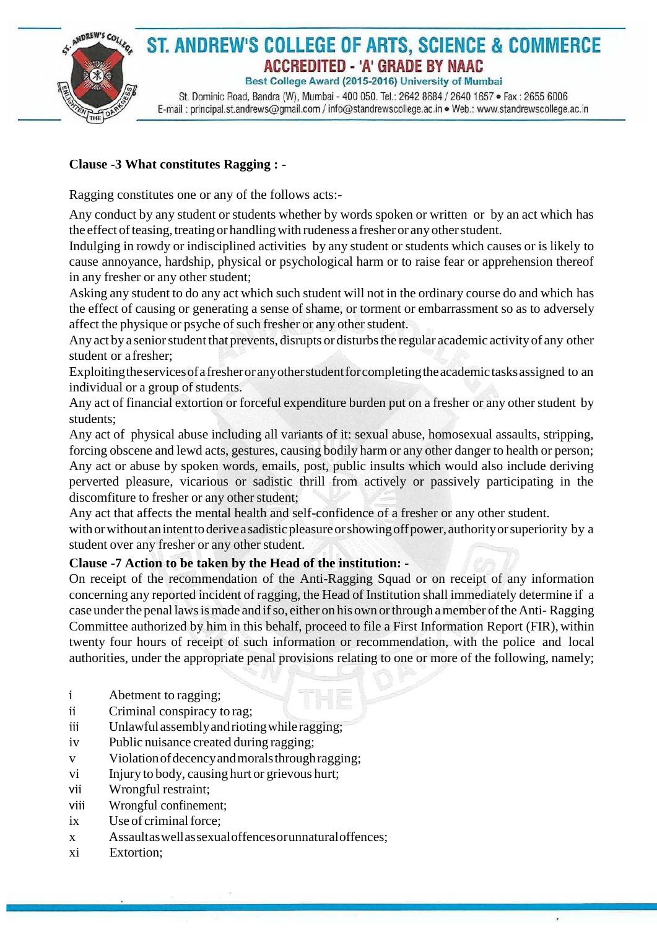

### **Clause -3 What constitutes Ragging : -**

Ragging constitutes one or any of the follows acts:-

Any conduct by any student or students whether by words spoken or written or by an act which has the effect of teasing, treating or handling with rudeness a fresher or any other student.

Indulging in rowdy or indisciplined activities by any student or students which causes or is likely to cause annoyance, hardship, physical or psychological harm or to raise fear or apprehension thereof in any fresher or any other student;

Asking any student to do any act which such student will not in the ordinary course do and which has the effect of causing or generating a sense of shame, or torment or embarrassment so as to adversely affect the physique or psyche of such fresher or any other student.

Any act by a senior student that prevents, disrupts or disturbs the regular academic activity of any other student or afresher;

Exploiting the services of a fresher or any other student for completing the academic tasks assigned to an individual or a group of students.

Any act of financial extortion or forceful expenditure burden put on a fresher or any other student by students;

Any act of physical abuse including all variants of it: sexual abuse, homosexual assaults, stripping, forcing obscene and lewd acts, gestures, causing bodily harm or any other danger to health or person; Any act or abuse by spoken words, emails, post, public insults which would also include deriving perverted pleasure, vicarious or sadistic thrill from actively or passively participating in the discomfiture to fresher or any other student;

Any act that affects the mental health and self-confidence of a fresher or any other student.

with or without an intent to derive a sadistic pleasure or showing off power, authority or superiority by a student over any fresher or any other student.

#### **Clause -7 Action to be taken by the Head of the institution: -**

On receipt of the recommendation of the Anti-Ragging Squad or on receipt of any information concerning any reported incident of ragging, the Head of Institution shall immediately determine if a case underthe penal lawsismade and ifso, either on his own orthrough amember oftheAnti- Ragging Committee authorized by him in this behalf, proceed to file a First Information Report (FIR), within twenty four hours of receipt of such information or recommendation, with the police and local authorities, under the appropriate penal provisions relating to one or more of the following, namely;

 $\lambda$ 

- i Abetment to ragging;
- ii Criminal conspiracy to rag;
- iii Unlawful assembly and rioting while ragging;
- iv Public nuisance created during ragging;
- v Violationofdecencyandmoralsthroughragging;
- vi Injury to body, causing hurt or grievous hurt;
- vii Wrongful restraint;
- viii Wrongful confinement;
- ix Use of criminal force;
- x Assaultaswellassexualoffencesorunnaturaloffences;
- xi Extortion;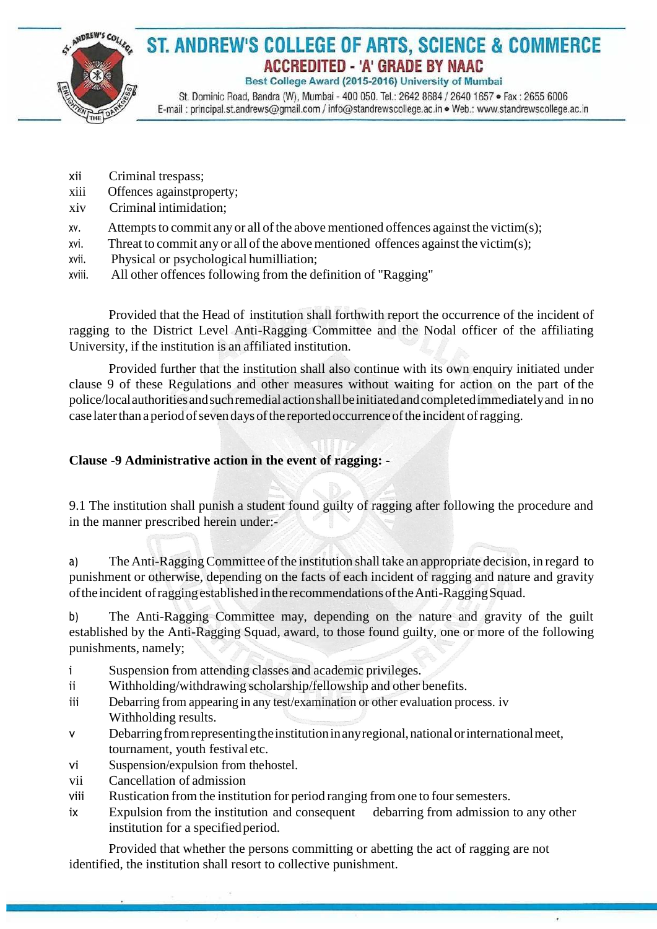

# ST. ANDREW'S COLLEGE OF ARTS, SCIENCE & COMMERCE **ACCREDITED - 'A' GRADE BY NAAC**

Best College Award (2015-2016) University of Mumbai

St. Dominic Road, Bandra (W), Mumbai - 400 050. Tel.: 2642 8684 / 2640 1657 · Fax: 2655 6006 E-mail: principal.st.andrews@gmail.com / info@standrewscollege.ac.in . Web.: www.standrewscollege.ac.in

- xii Criminal trespass;
- xiii Offences againstproperty;
- xiv Criminal intimidation;
- $xv.$  Attempts to commit any or all of the above mentioned offences against the victim(s);
- xvi. Threat to commit any or all of the above mentioned offences against the victim(s);
- xvii. Physical or psychological humilliation;
- xviii. All other offences following from the definition of "Ragging"

Provided that the Head of institution shall forthwith report the occurrence of the incident of ragging to the District Level Anti-Ragging Committee and the Nodal officer of the affiliating University, if the institution is an affiliated institution.

Provided further that the institution shall also continue with its own enquiry initiated under clause 9 of these Regulations and other measures without waiting for action on the part of the police/localauthoritiesandsuchremedialactionshallbeinitiatedandcompletedimmediatelyand in no case later than a period of seven days of the reported occurrence of the incident of ragging.

### **Clause -9 Administrative action in the event of ragging: -**

9.1 The institution shall punish a student found guilty of ragging after following the procedure and in the manner prescribed herein under:-

a) The Anti-Ragging Committee of the institution shall take an appropriate decision, in regard to punishment or otherwise, depending on the facts of each incident of ragging and nature and gravity oftheincident ofragging establishedintherecommendations oftheAnti-RaggingSquad.

b) The Anti-Ragging Committee may, depending on the nature and gravity of the guilt established by the Anti-Ragging Squad, award, to those found guilty, one or more of the following punishments, namely;

- i Suspension from attending classes and academic privileges.
- ii Withholding/withdrawing scholarship/fellowship and other benefits.
- iii Debarring from appearing in any test/examination or other evaluation process. iv Withholding results.
- v Debarringfromrepresentingtheinstitutioninanyregional,nationalorinternationalmeet, tournament, youth festival etc.
- vi Suspension/expulsion from thehostel.
- vii Cancellation of admission
- viii Rustication from the institution for period ranging from one to foursemesters.
- ix Expulsion from the institution and consequent debarring from admission to any other institution for a specified period.

ú

Provided that whether the persons committing or abetting the act of ragging are not identified, the institution shall resort to collective punishment.